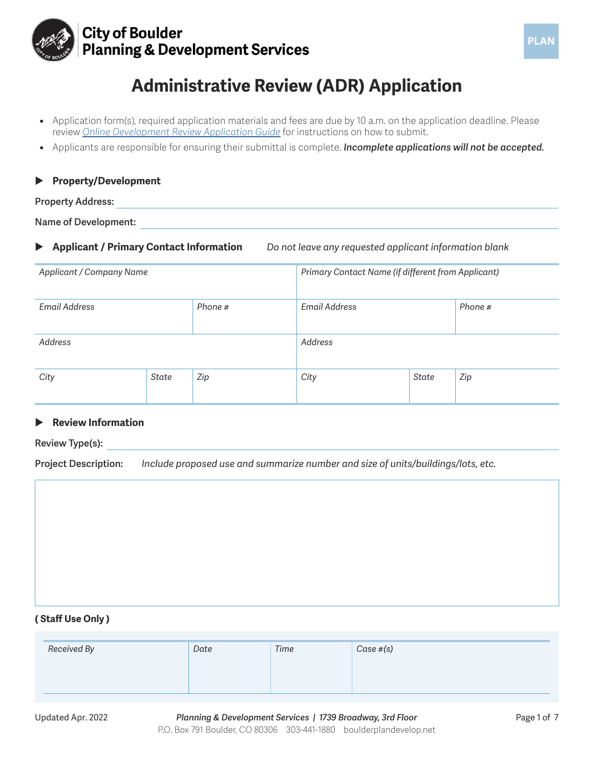

## **City of Boulder Planning & Development Services**

# **Administrative Review (ADR) Application**

- **•** Application form(s), required application materials and fees are due by 10 a.m. on the application deadline. Please review *[Online Development Review Application Guide](https://bouldercolorado.gov/media/1447/download?inline)* for instructions on how to submit.
- **•** Applicants are responsible for ensuring their submittal is complete. *Incomplete applications will not be accepted.*

#### **Property/Development**

#### **Property Address:**

**Name of Development:** 

X **Applicant / Primary Contact Information** *Do not leave any requested applicant information blank*

| Applicant / Company Name        |       |               | Primary Contact Name (if different from Applicant) |       |     |
|---------------------------------|-------|---------------|----------------------------------------------------|-------|-----|
| <b>Email Address</b><br>Phone # |       | Email Address | Phone #                                            |       |     |
| Address                         |       |               | Address                                            |       |     |
| City                            | State | Zip           | City                                               | State | Zip |

#### **Review Information**

**Review Type(s):** 

**Project Description:** *Include proposed use and summarize number and size of units/buildings/lots, etc.*

#### **( Staff Use Only )**

| Received By | Date | Time | Case #(s) |
|-------------|------|------|-----------|
|             |      |      |           |
|             |      |      |           |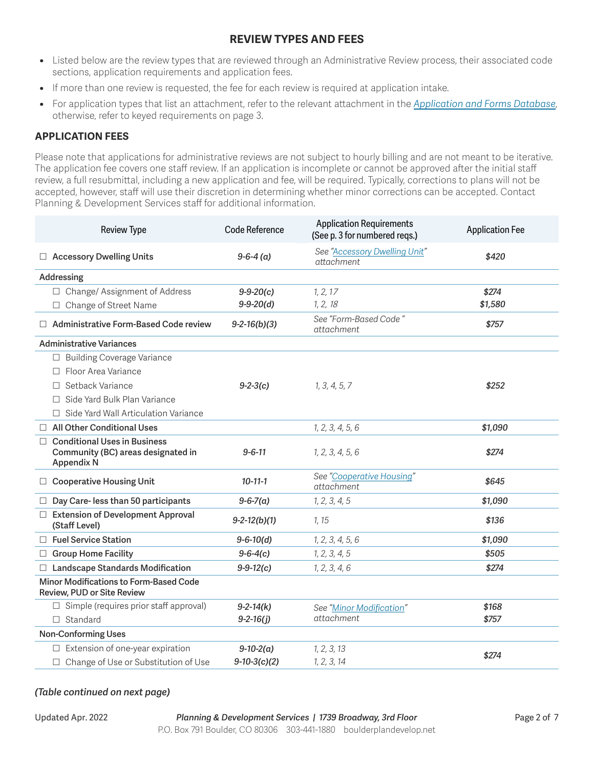### **REVIEW TYPES AND FEES**

- **•** Listed below are the review types that are reviewed through an Administrative Review process, their associated code sections, application requirements and application fees.
- **•** If more than one review is requested, the fee for each review is required at application intake.
- **•** For application types that list an attachment, refer to the relevant attachment in the *[Application and Forms Database](https://bouldercolorado.gov/plan-develop/applications)*, otherwise, refer to keyed requirements on page 3.

#### **APPLICATION FEES**

Please note that applications for administrative reviews are not subject to hourly billing and are not meant to be iterative. The application fee covers one staff review. If an application is incomplete or cannot be approved after the initial staff review, a full resubmittal, including a new application and fee, will be required. Typically, corrections to plans will not be accepted, however, staff will use their discretion in determining whether minor corrections can be accepted. Contact Planning & Development Services staff for additional information.

| <b>Review Type</b>                                                                                       | Code Reference  | <b>Application Requirements</b><br>(See p. 3 for numbered reqs.) | <b>Application Fee</b> |
|----------------------------------------------------------------------------------------------------------|-----------------|------------------------------------------------------------------|------------------------|
| <b>Accessory Dwelling Units</b><br>Ш                                                                     | $9-6-4$ (a)     | See "Accessory Dwelling Unit"<br>attachment                      | \$420                  |
| Addressing                                                                                               |                 |                                                                  |                        |
| □ Change/ Assignment of Address                                                                          | $9 - 9 - 20(c)$ | 1, 2, 17                                                         | \$274                  |
| Change of Street Name<br>$\Box$                                                                          | $9 - 9 - 20(d)$ | 1, 2, 18                                                         | \$1,580                |
| Administrative Form-Based Code review<br>П.                                                              | $9-2-16(b)(3)$  | See "Form-Based Code"<br><i>attachment</i>                       | \$757                  |
| <b>Administrative Variances</b>                                                                          |                 |                                                                  |                        |
| □ Building Coverage Variance                                                                             |                 |                                                                  |                        |
| Floor Area Variance<br>П.                                                                                |                 |                                                                  |                        |
| □ Setback Variance                                                                                       | $9-2-3(c)$      | 1, 3, 4, 5, 7                                                    | \$252                  |
| □ Side Yard Bulk Plan Variance                                                                           |                 |                                                                  |                        |
| Side Yard Wall Articulation Variance                                                                     |                 |                                                                  |                        |
| $\Box$ All Other Conditional Uses                                                                        |                 | 1, 2, 3, 4, 5, 6                                                 | \$1,090                |
| <b>Conditional Uses in Business</b><br>$\Box$<br>Community (BC) areas designated in<br><b>Appendix N</b> | $9 - 6 - 11$    | 1, 2, 3, 4, 5, 6                                                 | \$274                  |
| □ Cooperative Housing Unit                                                                               | $10 - 11 - 1$   | See "Cooperative Housing"<br>attachment                          | \$645                  |
| Day Care-less than 50 participants<br>⊔                                                                  | $9 - 6 - 7(a)$  | 1, 2, 3, 4, 5                                                    | \$1,090                |
| □ Extension of Development Approval<br>(Staff Level)                                                     | $9-2-12(b)(1)$  | 1, 15                                                            | \$136                  |
| □ Fuel Service Station                                                                                   | $9 - 6 - 10(d)$ | 1, 2, 3, 4, 5, 6                                                 | \$1,090                |
| □ Group Home Facility                                                                                    | $9 - 6 - 4(c)$  | 1, 2, 3, 4, 5                                                    | \$505                  |
| □ Landscape Standards Modification                                                                       | $9 - 9 - 12(c)$ | 1, 2, 3, 4, 6                                                    | \$274                  |
| Minor Modifications to Form-Based Code<br>Review, PUD or Site Review                                     |                 |                                                                  |                        |
| $\Box$ Simple (requires prior staff approval)                                                            | $9 - 2 - 14(k)$ | See "Minor Modification"                                         | \$168                  |
| $\Box$ Standard                                                                                          | $9 - 2 - 16(j)$ | attachment                                                       | \$757                  |
| <b>Non-Conforming Uses</b>                                                                               |                 |                                                                  |                        |
| $\Box$ Extension of one-year expiration                                                                  | $9-10-2(a)$     | 1, 2, 3, 13                                                      |                        |
| □ Change of Use or Substitution of Use                                                                   | $9-10-3(c)(2)$  | 1, 2, 3, 14                                                      | \$274                  |

#### *(Table continued on next page)*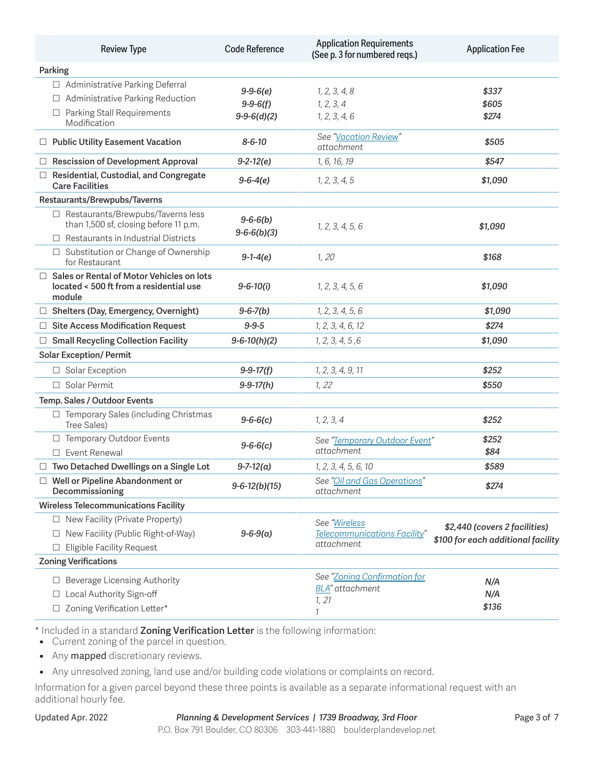| <b>Review Type</b>                                                                                                              | <b>Code Reference</b>              | <b>Application Requirements</b><br>(See p. 3 for numbered reqs.) | <b>Application Fee</b>             |  |
|---------------------------------------------------------------------------------------------------------------------------------|------------------------------------|------------------------------------------------------------------|------------------------------------|--|
| Parking                                                                                                                         |                                    |                                                                  |                                    |  |
| □ Administrative Parking Deferral                                                                                               | $9 - 9 - 6(e)$                     | 1, 2, 3, 4, 8                                                    | \$337                              |  |
| Administrative Parking Reduction<br>⊔.                                                                                          | $9 - 9 - 6(f)$                     | 1, 2, 3, 4                                                       | \$605                              |  |
| Parking Stall Requirements<br>⊔.<br>Modification                                                                                | $9-9-6(d)(2)$                      | 1, 2, 3, 4, 6                                                    | \$274                              |  |
| □ Public Utility Easement Vacation                                                                                              | $8 - 6 - 10$                       | See "Vacation Review"<br>attachment                              | \$505                              |  |
| <b>Rescission of Development Approval</b>                                                                                       | $9 - 2 - 12(e)$                    | 1, 6, 16, 19                                                     | \$547                              |  |
| Residential, Custodial, and Congregate<br><b>Care Facilities</b>                                                                | $9 - 6 - 4(e)$                     | 1, 2, 3, 4, 5                                                    | \$1,090                            |  |
| Restaurants/Brewpubs/Taverns                                                                                                    |                                    |                                                                  |                                    |  |
| $\Box$ Restaurants/Brewpubs/Taverns less<br>than 1,500 sf, closing before 11 p.m.<br>$\Box$ Restaurants in Industrial Districts | $9 - 6 - 6(b)$<br>$9-6-6(b)(3)$    | 1, 2, 3, 4, 5, 6                                                 | \$1,090                            |  |
| □ Substitution or Change of Ownership<br>for Restaurant                                                                         | $9-1-4(e)$                         | 1, 20                                                            | \$168                              |  |
| Sales or Rental of Motor Vehicles on lots<br>located < 500 ft from a residential use<br>module                                  | $9 - 6 - 10(i)$                    | 1, 2, 3, 4, 5, 6                                                 | \$1,090                            |  |
| □ Shelters (Day, Emergency, Overnight)                                                                                          | 1, 2, 3, 4, 5, 6<br>$9 - 6 - 7(b)$ |                                                                  | \$1,090                            |  |
| <b>Site Access Modification Request</b><br>ш                                                                                    | $9 - 9 - 5$                        | 1, 2, 3, 4, 6, 12                                                | \$274                              |  |
| <b>Small Recycling Collection Facility</b><br>⊔                                                                                 | $9 - 6 - 10(h)(2)$                 | 1, 2, 3, 4, 5, 6                                                 | \$1,090                            |  |
| <b>Solar Exception/ Permit</b>                                                                                                  |                                    |                                                                  |                                    |  |
| □ Solar Exception                                                                                                               | $9 - 9 - 17(f)$                    | 1, 2, 3, 4, 9, 11                                                | \$252                              |  |
| □ Solar Permit                                                                                                                  | $9 - 9 - 17(h)$                    | 1, 22                                                            | \$550                              |  |
| Temp. Sales / Outdoor Events                                                                                                    |                                    |                                                                  |                                    |  |
| $\Box$ Temporary Sales (including Christmas<br>Tree Sales)                                                                      | $9 - 6 - 6(c)$                     | 1, 2, 3, 4                                                       | \$252                              |  |
| □ Temporary Outdoor Events<br>See "Temporary Outdoor Event"<br>$9 - 6 - 6(c)$<br>attachment<br>Event Renewal<br>П.              |                                    | \$252<br>\$84                                                    |                                    |  |
| Two Detached Dwellings on a Single Lot                                                                                          | $9 - 7 - 12(a)$                    | 1, 2, 3, 4, 5, 6, 10                                             | \$589                              |  |
| Well or Pipeline Abandonment or<br>Decommissioning                                                                              | $9-6-12(b)(15)$                    | See "Oil and Gas Operations"<br>attachment                       | \$274                              |  |
| <b>Wireless Telecommunications Facility</b>                                                                                     |                                    |                                                                  |                                    |  |
| $\Box$ New Facility (Private Property)                                                                                          |                                    | See "Wireless                                                    | \$2,440 (covers 2 facilities)      |  |
| New Facility (Public Right-of-Way)<br>$\Box$                                                                                    | $9 - 6 - 9(a)$                     | <b>Telecommunications Facility</b>                               | \$100 for each additional facility |  |
| <b>Eligible Facility Request</b><br>$\Box$                                                                                      |                                    | attachment                                                       |                                    |  |
| <b>Zoning Verifications</b>                                                                                                     |                                    |                                                                  |                                    |  |
| Beverage Licensing Authority                                                                                                    |                                    | See "Zoning Confirmation for                                     | N/A                                |  |
| Local Authority Sign-off                                                                                                        |                                    | <b>BLA</b> " attachment<br>1, 21                                 | N/A                                |  |
| Zoning Verification Letter*                                                                                                     |                                    | 1                                                                | \$136                              |  |

\* Included in a standard **Zoning Verification Letter** is the following information:

**•** Current zoning of the parcel in question.

**•** Any mapped discretionary reviews.

**•** Any unresolved zoning, land use and/or building code violations or complaints on record.

Information for a given parcel beyond these three points is available as a separate informational request with an additional hourly fee.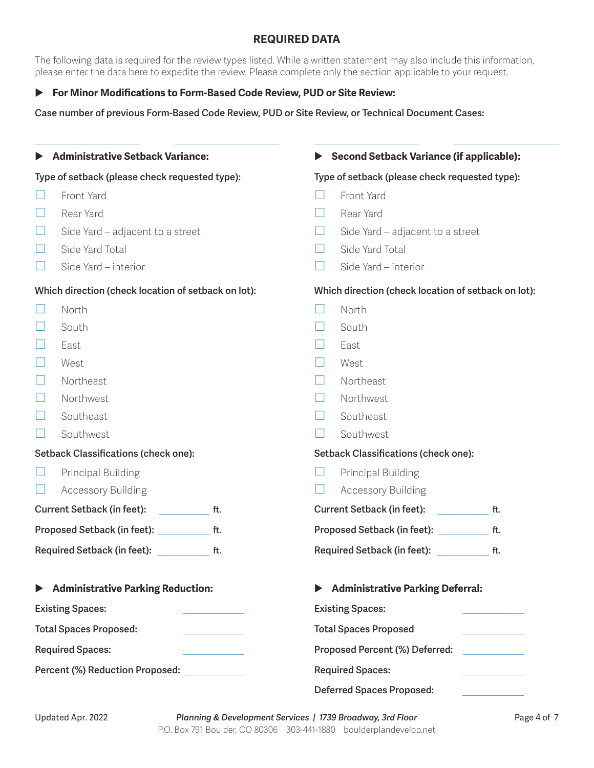### **REQUIRED DATA**

The following data is required for the review types listed. While a written statement may also include this information, please enter the data here to expedite the review. Please complete only the section applicable to your request.

#### ▶ For Minor Modifications to Form-Based Code Review, PUD or Site Review:

**Case number of previous Form-Based Code Review, PUD or Site Review, or Technical Document Cases:**

| <b>Administrative Setback Variance:</b>                                                                                                                                                        |                                      |     | <b>Second Setback Variance (if applicable):</b> |                                                                                                                                                               |     |
|------------------------------------------------------------------------------------------------------------------------------------------------------------------------------------------------|--------------------------------------|-----|-------------------------------------------------|---------------------------------------------------------------------------------------------------------------------------------------------------------------|-----|
| Type of setback (please check requested type):                                                                                                                                                 |                                      |     | Type of setback (please check requested type):  |                                                                                                                                                               |     |
| Front Yard<br>Rear Yard<br>Side Yard – adjacent to a street<br>ப<br>Side Yard Total<br>Side Yard - interior<br>$\overline{\phantom{a}}$<br>Which direction (check location of setback on lot): |                                      |     | l I<br><b>Simple Street</b>                     | Front Yard<br>Rear Yard<br>Side Yard – adjacent to a street<br>Side Yard Total<br>Side Yard - interior<br>Which direction (check location of setback on lot): |     |
|                                                                                                                                                                                                | North                                |     | $\mathsf{L}$                                    | North                                                                                                                                                         |     |
|                                                                                                                                                                                                | South                                |     |                                                 | South                                                                                                                                                         |     |
|                                                                                                                                                                                                | East                                 |     |                                                 | East                                                                                                                                                          |     |
|                                                                                                                                                                                                | West                                 |     |                                                 | West                                                                                                                                                          |     |
|                                                                                                                                                                                                | Northeast                            |     |                                                 | Northeast                                                                                                                                                     |     |
|                                                                                                                                                                                                | Northwest                            |     |                                                 | Northwest                                                                                                                                                     |     |
|                                                                                                                                                                                                | Southeast                            |     | $\Box$                                          | Southeast                                                                                                                                                     |     |
|                                                                                                                                                                                                | Southwest                            |     |                                                 | Southwest                                                                                                                                                     |     |
|                                                                                                                                                                                                | Setback Classifications (check one): |     |                                                 | Setback Classifications (check one):                                                                                                                          |     |
|                                                                                                                                                                                                | Principal Building                   |     |                                                 | Principal Building                                                                                                                                            |     |
|                                                                                                                                                                                                | <b>Accessory Building</b>            |     |                                                 | <b>Accessory Building</b>                                                                                                                                     |     |
|                                                                                                                                                                                                | <b>Current Setback (in feet):</b>    | ft. |                                                 | Current Setback (in feet):                                                                                                                                    | ft. |
|                                                                                                                                                                                                | Proposed Setback (in feet): Network  | ft. |                                                 | Proposed Setback (in feet): _________                                                                                                                         | ft. |
|                                                                                                                                                                                                | Required Setback (in feet):          | ft. |                                                 | Required Setback (in feet):                                                                                                                                   | ft. |
|                                                                                                                                                                                                | Administrative Parking Reduction:    |     |                                                 | <b>Administrative Parking Deferral:</b>                                                                                                                       |     |
| <b>Existing Spaces:</b>                                                                                                                                                                        |                                      |     |                                                 | <b>Existing Spaces:</b>                                                                                                                                       |     |
| <b>Total Spaces Proposed:</b>                                                                                                                                                                  |                                      |     |                                                 | <b>Total Spaces Proposed</b>                                                                                                                                  |     |
| <b>Required Spaces:</b>                                                                                                                                                                        |                                      |     | Proposed Percent (%) Deferred:                  |                                                                                                                                                               |     |
| Percent (%) Reduction Proposed: ___________                                                                                                                                                    |                                      |     |                                                 | <b>Required Spaces:</b>                                                                                                                                       |     |
|                                                                                                                                                                                                |                                      |     |                                                 | <b>Deferred Spaces Proposed:</b>                                                                                                                              |     |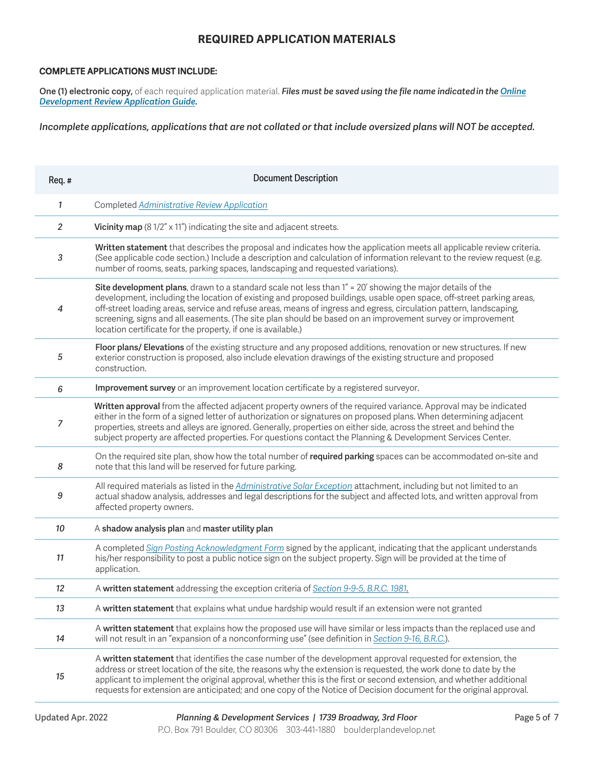#### **REQUIRED APPLICATION MATERIALS**

#### **COMPLETE APPLICATIONS MUST INCLUDE:**

**One (1) electronic copy,** of each required application material. *Files must be saved using the file name indicated in the [Online](https://bouldercolorado.gov/media/1447/download?inline)  [Development Review Application Guide](https://bouldercolorado.gov/media/1447/download?inline).* 

*Incomplete applications, applications that are not collated or that include oversized plans will NOT be accepted.*

| Req.# | <b>Document Description</b>                                                                                                                                                                                                                                                                                                                                                                                                                                                                                                           |
|-------|---------------------------------------------------------------------------------------------------------------------------------------------------------------------------------------------------------------------------------------------------------------------------------------------------------------------------------------------------------------------------------------------------------------------------------------------------------------------------------------------------------------------------------------|
| 1     | Completed Administrative Review Application                                                                                                                                                                                                                                                                                                                                                                                                                                                                                           |
| 2     | Vicinity map $(8\frac{1}{2}x11'')$ indicating the site and adjacent streets.                                                                                                                                                                                                                                                                                                                                                                                                                                                          |
| 3     | Written statement that describes the proposal and indicates how the application meets all applicable review criteria.<br>(See applicable code section.) Include a description and calculation of information relevant to the review request (e.g.<br>number of rooms, seats, parking spaces, landscaping and requested variations).                                                                                                                                                                                                   |
| 4     | Site development plans, drawn to a standard scale not less than 1" = 20' showing the major details of the<br>development, including the location of existing and proposed buildings, usable open space, off-street parking areas,<br>off-street loading areas, service and refuse areas, means of ingress and egress, circulation pattern, landscaping,<br>screening, signs and all easements. (The site plan should be based on an improvement survey or improvement<br>location certificate for the property, if one is available.) |
| 5     | Floor plans/ Elevations of the existing structure and any proposed additions, renovation or new structures. If new<br>exterior construction is proposed, also include elevation drawings of the existing structure and proposed<br>construction.                                                                                                                                                                                                                                                                                      |
| 6     | Improvement survey or an improvement location certificate by a registered surveyor.                                                                                                                                                                                                                                                                                                                                                                                                                                                   |
| 7     | Written approval from the affected adjacent property owners of the required variance. Approval may be indicated<br>either in the form of a signed letter of authorization or signatures on proposed plans. When determining adjacent<br>properties, streets and alleys are ignored. Generally, properties on either side, across the street and behind the<br>subject property are affected properties. For questions contact the Planning & Development Services Center.                                                             |
| 8     | On the required site plan, show how the total number of required parking spaces can be accommodated on-site and<br>note that this land will be reserved for future parking.                                                                                                                                                                                                                                                                                                                                                           |
| 9     | All required materials as listed in the Administrative Solar Exception attachment, including but not limited to an<br>actual shadow analysis, addresses and legal descriptions for the subject and affected lots, and written approval from<br>affected property owners.                                                                                                                                                                                                                                                              |
| 10    | A shadow analysis plan and master utility plan                                                                                                                                                                                                                                                                                                                                                                                                                                                                                        |
| 11    | A completed Sign Posting Acknowledgment Form signed by the applicant, indicating that the applicant understands<br>his/her responsibility to post a public notice sign on the subject property. Sign will be provided at the time of<br>application.                                                                                                                                                                                                                                                                                  |
| 12    | A written statement addressing the exception criteria of Section 9-9-5, B.R.C. 1981.                                                                                                                                                                                                                                                                                                                                                                                                                                                  |
| 13    | A written statement that explains what undue hardship would result if an extension were not granted                                                                                                                                                                                                                                                                                                                                                                                                                                   |
| 14    | A written statement that explains how the proposed use will have similar or less impacts than the replaced use and<br>will not result in an "expansion of a nonconforming use" (see definition in Section 9-16, B.R.C.).                                                                                                                                                                                                                                                                                                              |
| 15    | A written statement that identifies the case number of the development approval requested for extension, the<br>address or street location of the site, the reasons why the extension is requested, the work done to date by the<br>applicant to implement the original approval, whether this is the first or second extension, and whether additional<br>requests for extension are anticipated; and one copy of the Notice of Decision document for the original approval.                                                         |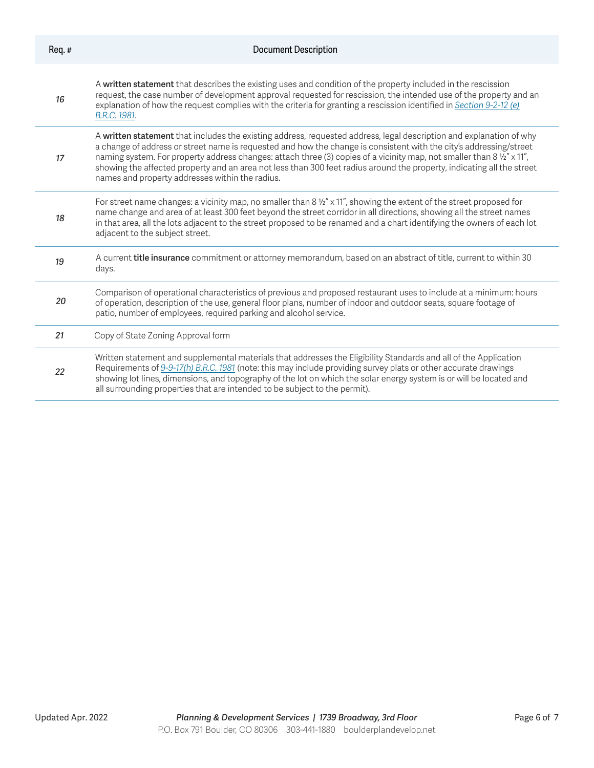| Req.# | <b>Document Description</b>                                                                                                                                                                                                                                                                                                                                                                                                                                                                                                                      |
|-------|--------------------------------------------------------------------------------------------------------------------------------------------------------------------------------------------------------------------------------------------------------------------------------------------------------------------------------------------------------------------------------------------------------------------------------------------------------------------------------------------------------------------------------------------------|
| 16    | A written statement that describes the existing uses and condition of the property included in the rescission<br>request, the case number of development approval requested for rescission, the intended use of the property and an<br>explanation of how the request complies with the criteria for granting a rescission identified in Section 9-2-12 (e)<br>B.R.C. 1981.                                                                                                                                                                      |
| 17    | A written statement that includes the existing address, requested address, legal description and explanation of why<br>a change of address or street name is requested and how the change is consistent with the city's addressing/street<br>naming system. For property address changes: attach three (3) copies of a vicinity map, not smaller than 8 1/2" x 11",<br>showing the affected property and an area not less than 300 feet radius around the property, indicating all the street<br>names and property addresses within the radius. |
| 18    | For street name changes: a vicinity map, no smaller than $8\frac{1}{2}$ " x 11", showing the extent of the street proposed for<br>name change and area of at least 300 feet beyond the street corridor in all directions, showing all the street names<br>in that area, all the lots adjacent to the street proposed to be renamed and a chart identifying the owners of each lot<br>adjacent to the subject street.                                                                                                                             |
| 19    | A current title insurance commitment or attorney memorandum, based on an abstract of title, current to within 30<br>days.                                                                                                                                                                                                                                                                                                                                                                                                                        |
| 20    | Comparison of operational characteristics of previous and proposed restaurant uses to include at a minimum: hours<br>of operation, description of the use, general floor plans, number of indoor and outdoor seats, square footage of<br>patio, number of employees, required parking and alcohol service.                                                                                                                                                                                                                                       |
| 21    | Copy of State Zoning Approval form                                                                                                                                                                                                                                                                                                                                                                                                                                                                                                               |
| 22    | Written statement and supplemental materials that addresses the Eligibility Standards and all of the Application<br>Requirements of 9-9-17(h) B.R.C. 1981 (note: this may include providing survey plats or other accurate drawings<br>showing lot lines, dimensions, and topography of the lot on which the solar energy system is or will be located and<br>all surrounding properties that are intended to be subject to the permit).                                                                                                         |
|       |                                                                                                                                                                                                                                                                                                                                                                                                                                                                                                                                                  |